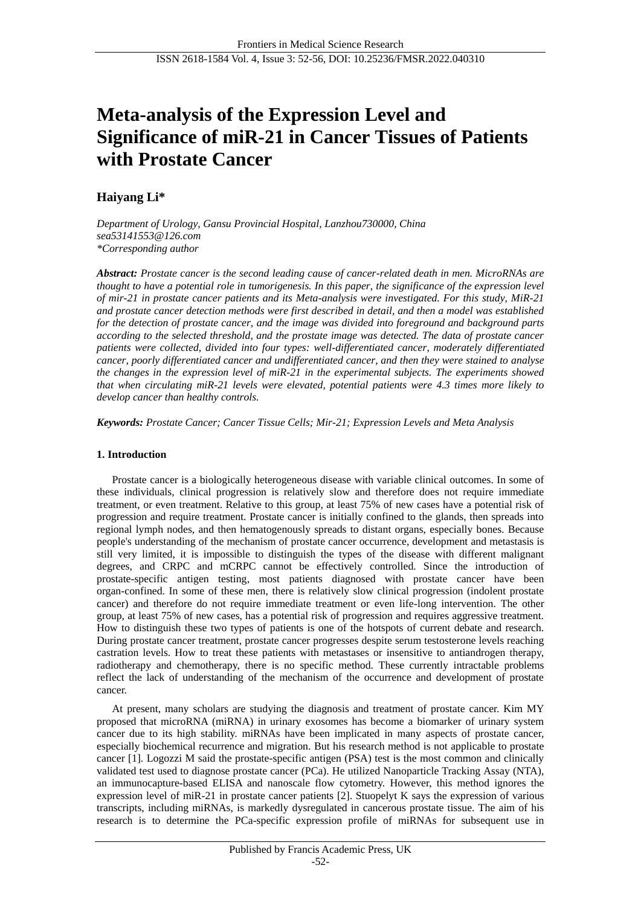# **Meta-analysis of the Expression Level and Significance of miR-21 in Cancer Tissues of Patients with Prostate Cancer**

# **Haiyang Li\***

*Department of Urology, Gansu Provincial Hospital, Lanzhou730000, China sea53141553@126.com \*Corresponding author*

*Abstract: Prostate cancer is the second leading cause of cancer-related death in men. MicroRNAs are thought to have a potential role in tumorigenesis. In this paper, the significance of the expression level of mir-21 in prostate cancer patients and its Meta-analysis were investigated. For this study, MiR-21 and prostate cancer detection methods were first described in detail, and then a model was established for the detection of prostate cancer, and the image was divided into foreground and background parts according to the selected threshold, and the prostate image was detected. The data of prostate cancer patients were collected, divided into four types: well-differentiated cancer, moderately differentiated cancer, poorly differentiated cancer and undifferentiated cancer, and then they were stained to analyse the changes in the expression level of miR-21 in the experimental subjects. The experiments showed that when circulating miR-21 levels were elevated, potential patients were 4.3 times more likely to develop cancer than healthy controls.*

*Keywords: Prostate Cancer; Cancer Tissue Cells; Mir-21; Expression Levels and Meta Analysis*

# **1. Introduction**

Prostate cancer is a biologically heterogeneous disease with variable clinical outcomes. In some of these individuals, clinical progression is relatively slow and therefore does not require immediate treatment, or even treatment. Relative to this group, at least 75% of new cases have a potential risk of progression and require treatment. Prostate cancer is initially confined to the glands, then spreads into regional lymph nodes, and then hematogenously spreads to distant organs, especially bones. Because people's understanding of the mechanism of prostate cancer occurrence, development and metastasis is still very limited, it is impossible to distinguish the types of the disease with different malignant degrees, and CRPC and mCRPC cannot be effectively controlled. Since the introduction of prostate-specific antigen testing, most patients diagnosed with prostate cancer have been organ-confined. In some of these men, there is relatively slow clinical progression (indolent prostate cancer) and therefore do not require immediate treatment or even life-long intervention. The other group, at least 75% of new cases, has a potential risk of progression and requires aggressive treatment. How to distinguish these two types of patients is one of the hotspots of current debate and research. During prostate cancer treatment, prostate cancer progresses despite serum testosterone levels reaching castration levels. How to treat these patients with metastases or insensitive to antiandrogen therapy, radiotherapy and chemotherapy, there is no specific method. These currently intractable problems reflect the lack of understanding of the mechanism of the occurrence and development of prostate cancer.

At present, many scholars are studying the diagnosis and treatment of prostate cancer. Kim MY proposed that microRNA (miRNA) in urinary exosomes has become a biomarker of urinary system cancer due to its high stability. miRNAs have been implicated in many aspects of prostate cancer, especially biochemical recurrence and migration. But his research method is not applicable to prostate cancer [1]. Logozzi M said the prostate-specific antigen (PSA) test is the most common and clinically validated test used to diagnose prostate cancer (PCa). He utilized Nanoparticle Tracking Assay (NTA), an immunocapture-based ELISA and nanoscale flow cytometry. However, this method ignores the expression level of miR-21 in prostate cancer patients [2]. Stuopelyt K says the expression of various transcripts, including miRNAs, is markedly dysregulated in cancerous prostate tissue. The aim of his research is to determine the PCa-specific expression profile of miRNAs for subsequent use in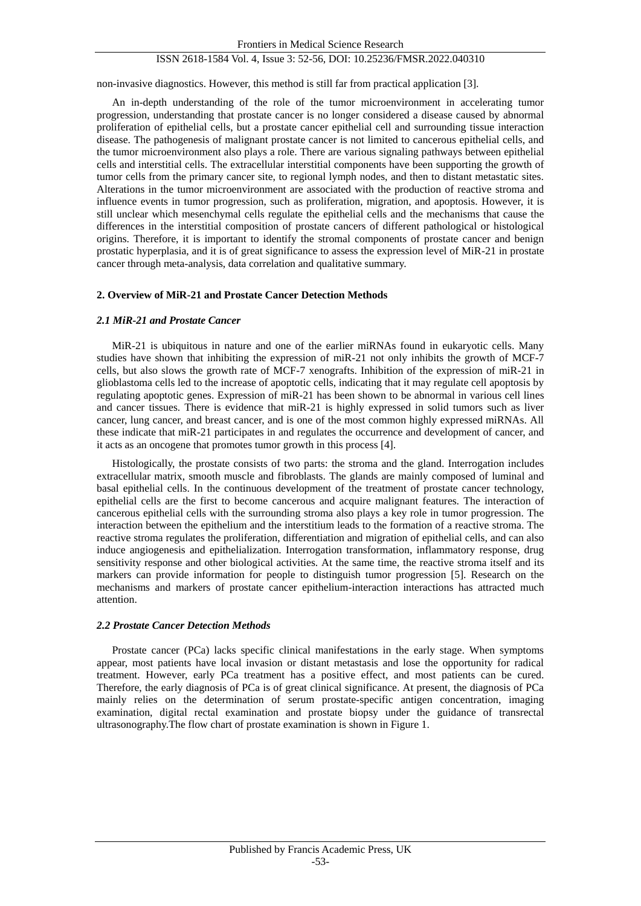## ISSN 2618-1584 Vol. 4, Issue 3: 52-56, DOI: 10.25236/FMSR.2022.040310

non-invasive diagnostics. However, this method is still far from practical application [3].

An in-depth understanding of the role of the tumor microenvironment in accelerating tumor progression, understanding that prostate cancer is no longer considered a disease caused by abnormal proliferation of epithelial cells, but a prostate cancer epithelial cell and surrounding tissue interaction disease. The pathogenesis of malignant prostate cancer is not limited to cancerous epithelial cells, and the tumor microenvironment also plays a role. There are various signaling pathways between epithelial cells and interstitial cells. The extracellular interstitial components have been supporting the growth of tumor cells from the primary cancer site, to regional lymph nodes, and then to distant metastatic sites. Alterations in the tumor microenvironment are associated with the production of reactive stroma and influence events in tumor progression, such as proliferation, migration, and apoptosis. However, it is still unclear which mesenchymal cells regulate the epithelial cells and the mechanisms that cause the differences in the interstitial composition of prostate cancers of different pathological or histological origins. Therefore, it is important to identify the stromal components of prostate cancer and benign prostatic hyperplasia, and it is of great significance to assess the expression level of MiR-21 in prostate cancer through meta-analysis, data correlation and qualitative summary.

#### **2. Overview of MiR-21 and Prostate Cancer Detection Methods**

#### *2.1 MiR-21 and Prostate Cancer*

MiR-21 is ubiquitous in nature and one of the earlier miRNAs found in eukaryotic cells. Many studies have shown that inhibiting the expression of miR-21 not only inhibits the growth of MCF-7 cells, but also slows the growth rate of MCF-7 xenografts. Inhibition of the expression of miR-21 in glioblastoma cells led to the increase of apoptotic cells, indicating that it may regulate cell apoptosis by regulating apoptotic genes. Expression of miR-21 has been shown to be abnormal in various cell lines and cancer tissues. There is evidence that miR-21 is highly expressed in solid tumors such as liver cancer, lung cancer, and breast cancer, and is one of the most common highly expressed miRNAs. All these indicate that miR-21 participates in and regulates the occurrence and development of cancer, and it acts as an oncogene that promotes tumor growth in this process [4].

Histologically, the prostate consists of two parts: the stroma and the gland. Interrogation includes extracellular matrix, smooth muscle and fibroblasts. The glands are mainly composed of luminal and basal epithelial cells. In the continuous development of the treatment of prostate cancer technology, epithelial cells are the first to become cancerous and acquire malignant features. The interaction of cancerous epithelial cells with the surrounding stroma also plays a key role in tumor progression. The interaction between the epithelium and the interstitium leads to the formation of a reactive stroma. The reactive stroma regulates the proliferation, differentiation and migration of epithelial cells, and can also induce angiogenesis and epithelialization. Interrogation transformation, inflammatory response, drug sensitivity response and other biological activities. At the same time, the reactive stroma itself and its markers can provide information for people to distinguish tumor progression [5]. Research on the mechanisms and markers of prostate cancer epithelium-interaction interactions has attracted much attention.

#### *2.2 Prostate Cancer Detection Methods*

Prostate cancer (PCa) lacks specific clinical manifestations in the early stage. When symptoms appear, most patients have local invasion or distant metastasis and lose the opportunity for radical treatment. However, early PCa treatment has a positive effect, and most patients can be cured. Therefore, the early diagnosis of PCa is of great clinical significance. At present, the diagnosis of PCa mainly relies on the determination of serum prostate-specific antigen concentration, imaging examination, digital rectal examination and prostate biopsy under the guidance of transrectal ultrasonography.The flow chart of prostate examination is shown in Figure 1.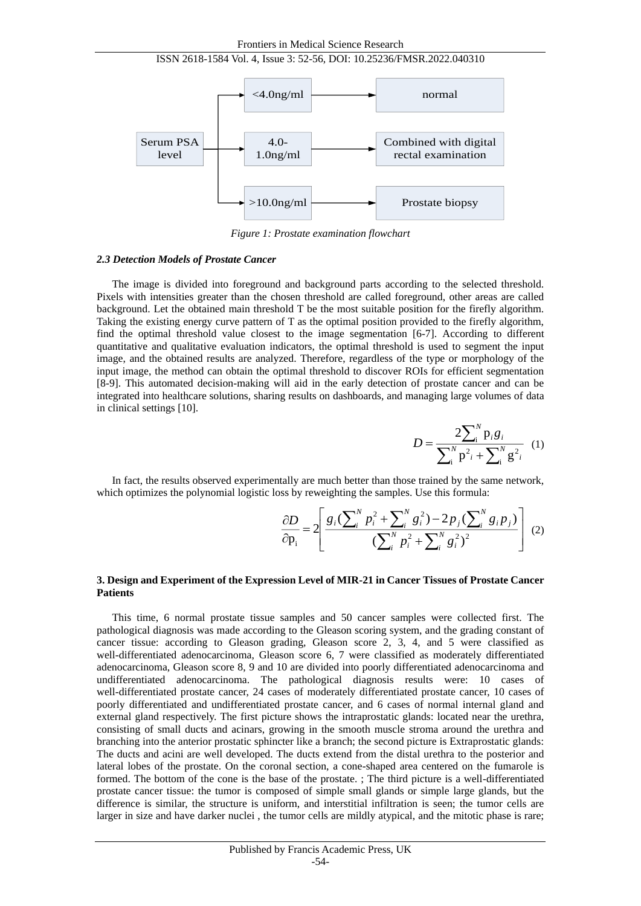Frontiers in Medical Science Research





*Figure 1: Prostate examination flowchart*

#### *2.3 Detection Models of Prostate Cancer*

The image is divided into foreground and background parts according to the selected threshold. Pixels with intensities greater than the chosen threshold are called foreground, other areas are called background. Let the obtained main threshold T be the most suitable position for the firefly algorithm. Taking the existing energy curve pattern of T as the optimal position provided to the firefly algorithm, find the optimal threshold value closest to the image segmentation [6-7]. According to different quantitative and qualitative evaluation indicators, the optimal threshold is used to segment the input image, and the obtained results are analyzed. Therefore, regardless of the type or morphology of the input image, the method can obtain the optimal threshold to discover ROIs for efficient segmentation [8-9]. This automated decision-making will aid in the early detection of prostate cancer and can be integrated into healthcare solutions, sharing results on dashboards, and managing large volumes of data in clinical settings [10].

$$
D = \frac{2\sum_{i}^{N} p_{i}g_{i}}{\sum_{i}^{N} p_{i}^{2} + \sum_{i}^{N} g_{i}^{2}} \quad (1)
$$

In fact, the results observed experimentally are much better than those trained by the same network, which optimizes the polynomial logistic loss by reweighting the samples. Use this formula:

$$
\frac{\partial D}{\partial \mathbf{p}_i} = 2 \left[ \frac{g_i (\sum_{i}^{N} p_i^2 + \sum_{i}^{N} g_i^2) - 2 p_j (\sum_{i}^{N} g_i p_j)}{(\sum_{i}^{N} p_i^2 + \sum_{i}^{N} g_i^2)^2} \right] (2)
$$

### **3. Design and Experiment of the Expression Level of MIR-21 in Cancer Tissues of Prostate Cancer Patients**

This time, 6 normal prostate tissue samples and 50 cancer samples were collected first. The pathological diagnosis was made according to the Gleason scoring system, and the grading constant of cancer tissue: according to Gleason grading, Gleason score 2, 3, 4, and 5 were classified as well-differentiated adenocarcinoma, Gleason score 6, 7 were classified as moderately differentiated adenocarcinoma, Gleason score 8, 9 and 10 are divided into poorly differentiated adenocarcinoma and undifferentiated adenocarcinoma. The pathological diagnosis results were: 10 cases of well-differentiated prostate cancer, 24 cases of moderately differentiated prostate cancer, 10 cases of poorly differentiated and undifferentiated prostate cancer, and 6 cases of normal internal gland and external gland respectively. The first picture shows the intraprostatic glands: located near the urethra, consisting of small ducts and acinars, growing in the smooth muscle stroma around the urethra and branching into the anterior prostatic sphincter like a branch; the second picture is Extraprostatic glands: The ducts and acini are well developed. The ducts extend from the distal urethra to the posterior and lateral lobes of the prostate. On the coronal section, a cone-shaped area centered on the fumarole is formed. The bottom of the cone is the base of the prostate. ; The third picture is a well-differentiated prostate cancer tissue: the tumor is composed of simple small glands or simple large glands, but the difference is similar, the structure is uniform, and interstitial infiltration is seen; the tumor cells are larger in size and have darker nuclei , the tumor cells are mildly atypical, and the mitotic phase is rare;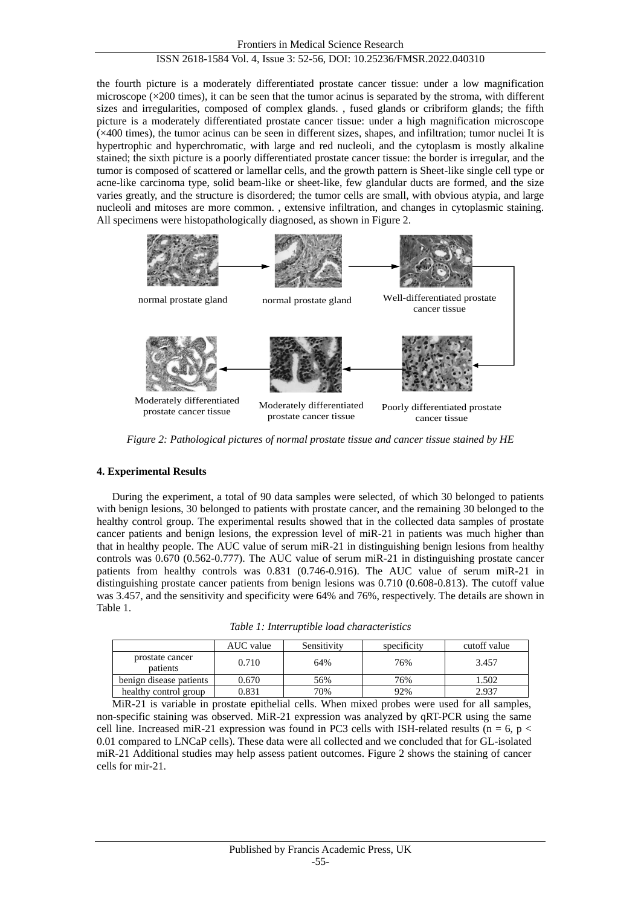# ISSN 2618-1584 Vol. 4, Issue 3: 52-56, DOI: 10.25236/FMSR.2022.040310

the fourth picture is a moderately differentiated prostate cancer tissue: under a low magnification microscope ( $\times$ 200 times), it can be seen that the tumor acinus is separated by the stroma, with different sizes and irregularities, composed of complex glands. , fused glands or cribriform glands; the fifth picture is a moderately differentiated prostate cancer tissue: under a high magnification microscope (×400 times), the tumor acinus can be seen in different sizes, shapes, and infiltration; tumor nuclei It is hypertrophic and hyperchromatic, with large and red nucleoli, and the cytoplasm is mostly alkaline stained; the sixth picture is a poorly differentiated prostate cancer tissue: the border is irregular, and the tumor is composed of scattered or lamellar cells, and the growth pattern is Sheet-like single cell type or acne-like carcinoma type, solid beam-like or sheet-like, few glandular ducts are formed, and the size varies greatly, and the structure is disordered; the tumor cells are small, with obvious atypia, and large nucleoli and mitoses are more common. , extensive infiltration, and changes in cytoplasmic staining. All specimens were histopathologically diagnosed, as shown in Figure 2.



*Figure 2: Pathological pictures of normal prostate tissue and cancer tissue stained by HE*

# **4. Experimental Results**

During the experiment, a total of 90 data samples were selected, of which 30 belonged to patients with benign lesions, 30 belonged to patients with prostate cancer, and the remaining 30 belonged to the healthy control group. The experimental results showed that in the collected data samples of prostate cancer patients and benign lesions, the expression level of miR-21 in patients was much higher than that in healthy people. The AUC value of serum miR-21 in distinguishing benign lesions from healthy controls was 0.670 (0.562-0.777). The AUC value of serum miR-21 in distinguishing prostate cancer patients from healthy controls was 0.831 (0.746-0.916). The AUC value of serum miR-21 in distinguishing prostate cancer patients from benign lesions was 0.710 (0.608-0.813). The cutoff value was 3.457, and the sensitivity and specificity were 64% and 76%, respectively. The details are shown in Table 1.

*Table 1: Interruptible load characteristics*

|                             | AUC value | Sensitivity | specificity | cutoff value |
|-----------------------------|-----------|-------------|-------------|--------------|
| prostate cancer<br>patients | 0.710     | 64%         | 76%         | 3.457        |
| benign disease patients     | 0.670     | 56%         | 76%         | .502         |
| healthy control group       | 0.831     | 70%         | 92%         | 2.937        |

MiR-21 is variable in prostate epithelial cells. When mixed probes were used for all samples, non-specific staining was observed. MiR-21 expression was analyzed by qRT-PCR using the same cell line. Increased miR-21 expression was found in PC3 cells with ISH-related results (n = 6, p  $\lt$ 0.01 compared to LNCaP cells). These data were all collected and we concluded that for GL-isolated miR-21 Additional studies may help assess patient outcomes. Figure 2 shows the staining of cancer cells for mir-21.